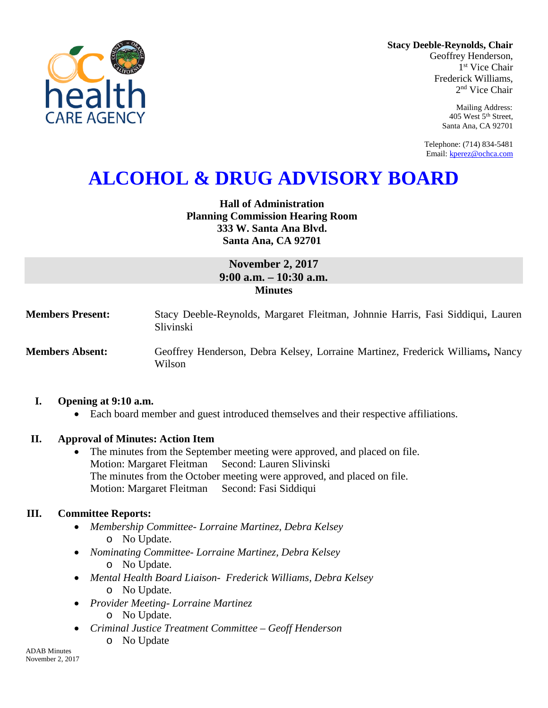

**Stacy Deeble-Reynolds, Chair** Geoffrey Henderson, 1<sup>st</sup> Vice Chair Frederick Williams,

> Mailing Address: 405 West 5th Street, Santa Ana, CA 92701

2nd Vice Chair

Telephone: (714) 834-5481 Email[: kperez@ochca.com](mailto:kperez@ochca.com)

# **ALCOHOL & DRUG ADVISORY BOARD**

**Hall of Administration Planning Commission Hearing Room 333 W. Santa Ana Blvd. Santa Ana, CA 92701** 

# **November 2, 2017 9:00 a.m. – 10:30 a.m. Minutes**

**Members Present:** Stacy Deeble-Reynolds, Margaret Fleitman, Johnnie Harris, Fasi Siddiqui, Lauren Slivinski

**Members Absent:** Geoffrey Henderson, Debra Kelsey, Lorraine Martinez, Frederick Williams**,** Nancy Wilson

### **I. Opening at 9:10 a.m.**

• Each board member and guest introduced themselves and their respective affiliations.

### **II. Approval of Minutes: Action Item**

The minutes from the September meeting were approved, and placed on file. Motion: Margaret Fleitman Second: Lauren Slivinski The minutes from the October meeting were approved, and placed on file. Motion: Margaret Fleitman Second: Fasi Siddiqui

### **III. Committee Reports:**

- *Membership Committee- Lorraine Martinez, Debra Kelsey*  o No Update.
- *Nominating Committee- Lorraine Martinez, Debra Kelsey* o No Update.
- *Mental Health Board Liaison- Frederick Williams, Debra Kelsey* o No Update.
- *Provider Meeting- Lorraine Martinez* o No Update.
- *Criminal Justice Treatment Committee – Geoff Henderson*
	- o No Update

ADAB Minutes November 2, 2017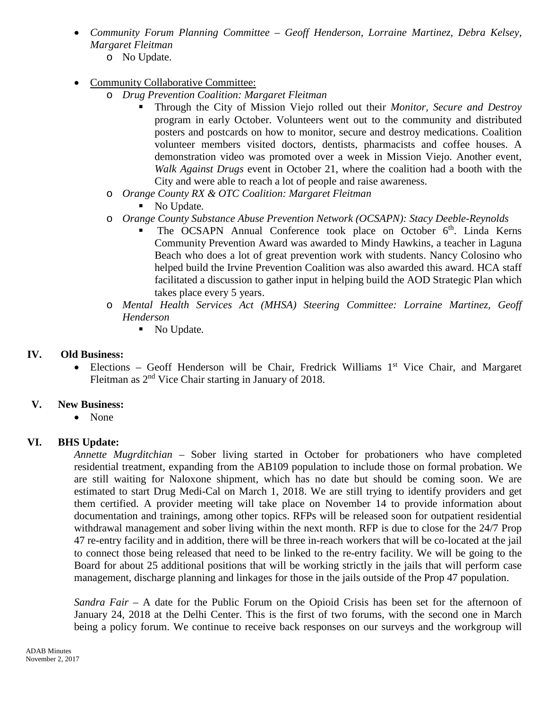- *Community Forum Planning Committee – Geoff Henderson, Lorraine Martinez, Debra Kelsey, Margaret Fleitman*
	- o No Update.
- Community Collaborative Committee:
	- o *Drug Prevention Coalition: Margaret Fleitman*
		- Through the City of Mission Viejo rolled out their *Monitor, Secure and Destroy* program in early October. Volunteers went out to the community and distributed posters and postcards on how to monitor, secure and destroy medications. Coalition volunteer members visited doctors, dentists, pharmacists and coffee houses. A demonstration video was promoted over a week in Mission Viejo. Another event, *Walk Against Drugs* event in October 21, where the coalition had a booth with the City and were able to reach a lot of people and raise awareness.
	- o *Orange County RX & OTC Coalition: Margaret Fleitman*
		- No Update*.*
	- o *Orange County Substance Abuse Prevention Network (OCSAPN): Stacy Deeble-Reynolds*
		- The OCSAPN Annual Conference took place on October 6<sup>th</sup>. Linda Kerns Community Prevention Award was awarded to Mindy Hawkins, a teacher in Laguna Beach who does a lot of great prevention work with students. Nancy Colosino who helped build the Irvine Prevention Coalition was also awarded this award. HCA staff facilitated a discussion to gather input in helping build the AOD Strategic Plan which takes place every 5 years.
	- o *Mental Health Services Act (MHSA) Steering Committee: Lorraine Martinez, Geoff Henderson*
		- No Update*.*

# **IV. Old Business:**

• Elections – Geoff Henderson will be Chair, Fredrick Williams 1<sup>st</sup> Vice Chair, and Margaret Fleitman as 2nd Vice Chair starting in January of 2018.

# **V. New Business:**

• None

# **VI. BHS Update:**

*Annette Mugrditchian –* Sober living started in October for probationers who have completed residential treatment, expanding from the AB109 population to include those on formal probation. We are still waiting for Naloxone shipment, which has no date but should be coming soon. We are estimated to start Drug Medi-Cal on March 1, 2018. We are still trying to identify providers and get them certified. A provider meeting will take place on November 14 to provide information about documentation and trainings, among other topics. RFPs will be released soon for outpatient residential withdrawal management and sober living within the next month. RFP is due to close for the 24/7 Prop 47 re-entry facility and in addition, there will be three in-reach workers that will be co-located at the jail to connect those being released that need to be linked to the re-entry facility. We will be going to the Board for about 25 additional positions that will be working strictly in the jails that will perform case management, discharge planning and linkages for those in the jails outside of the Prop 47 population.

*Sandra Fair –* A date for the Public Forum on the Opioid Crisis has been set for the afternoon of January 24, 2018 at the Delhi Center. This is the first of two forums, with the second one in March being a policy forum. We continue to receive back responses on our surveys and the workgroup will